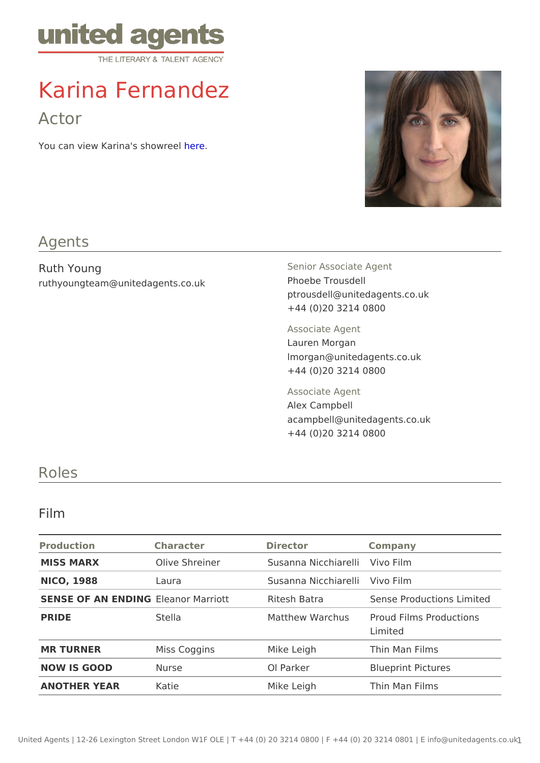# Karina Fernandez

## Actor

You can view Karina's **sepe**wreel

#### Agents

Ruth Young ruthyoungteam@unitedagents.co.uk

Senior Associate Agent Phoebe Trousdell ptrousdell@unitedagents.co.uk +44 (0)20 3214 0800

Associate Agent

Lauren Morgan lmorgan@unitedagents.co.uk +44 (0)20 3214 0800

Associate Agent

Alex Campbell acampbell@unitedagents.co.uk +44 (0)20 3214 0800

## Roles

#### Film

| Production   | Character      | Director                     | Company                                                                   |  |
|--------------|----------------|------------------------------|---------------------------------------------------------------------------|--|
| MISS MARX    | Olive Shreiner | Susanna Nicchia revoli Film  |                                                                           |  |
| NICO, 1988   | Laura          | Susanna Nicchia Viewloi Film |                                                                           |  |
|              |                |                              | SENSE OF AN ENDELINE Gnor Marriott Ritesh Batra Sense Productions Limited |  |
| PRIDE        | Stella         |                              | Matthew Warchubroud Films Productions<br>Limited                          |  |
| MR TURNER    | Miss Coggins   | Mike Leigh                   | Thin Man Films                                                            |  |
| NOW IS GOOD  | Nurse          | OI Parker                    | <b>Blueprint Pictures</b>                                                 |  |
| ANOTHER YEAR | Katie          | Mike Leigh                   | Thin Man Films                                                            |  |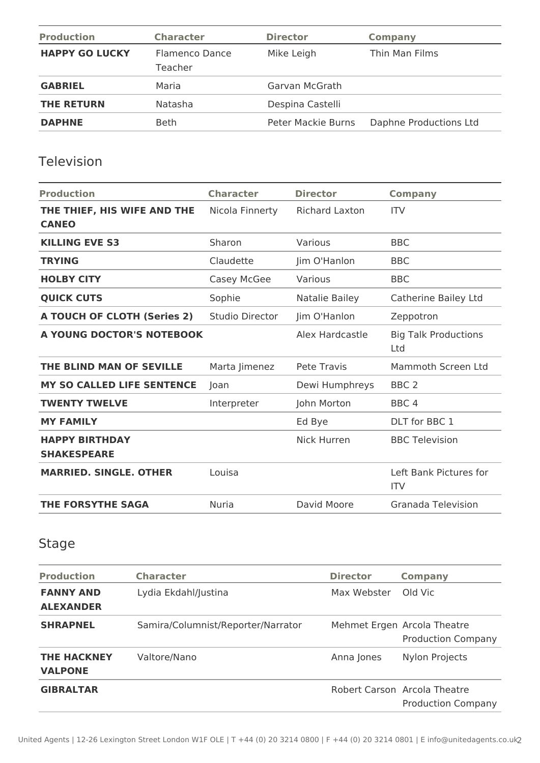| <b>Production</b>     | <b>Character</b>          | <b>Director</b>    | Company                |
|-----------------------|---------------------------|--------------------|------------------------|
| <b>HAPPY GO LUCKY</b> | Flamenco Dance<br>Teacher | Mike Leigh         | Thin Man Films         |
| <b>GABRIEL</b>        | Maria                     | Garvan McGrath     |                        |
| <b>THE RETURN</b>     | Natasha                   | Despina Castelli   |                        |
| <b>DAPHNE</b>         | <b>Beth</b>               | Peter Mackie Burns | Daphne Productions Ltd |

### Television

| <b>Production</b>                           | <b>Character</b> | <b>Director</b>       | <b>Company</b>                       |
|---------------------------------------------|------------------|-----------------------|--------------------------------------|
| THE THIEF, HIS WIFE AND THE<br><b>CANEO</b> | Nicola Finnerty  | <b>Richard Laxton</b> | <b>ITV</b>                           |
| <b>KILLING EVE S3</b>                       | Sharon           | Various               | <b>BBC</b>                           |
| <b>TRYING</b>                               | Claudette        | Jim O'Hanlon          | <b>BBC</b>                           |
| <b>HOLBY CITY</b>                           | Casey McGee      | Various               | <b>BBC</b>                           |
| <b>QUICK CUTS</b>                           | Sophie           | Natalie Bailey        | Catherine Bailey Ltd                 |
| <b>A TOUCH OF CLOTH (Series 2)</b>          | Studio Director  | Jim O'Hanlon          | Zeppotron                            |
| A YOUNG DOCTOR'S NOTEBOOK                   |                  | Alex Hardcastle       | <b>Big Talk Productions</b><br>Ltd   |
| THE BLIND MAN OF SEVILLE                    | Marta Jimenez    | <b>Pete Travis</b>    | Mammoth Screen Ltd                   |
| MY SO CALLED LIFE SENTENCE                  | Joan             | Dewi Humphreys        | BBC <sub>2</sub>                     |
| <b>TWENTY TWELVE</b>                        | Interpreter      | John Morton           | BBC <sub>4</sub>                     |
| <b>MY FAMILY</b>                            |                  | Ed Bye                | DLT for BBC 1                        |
| <b>HAPPY BIRTHDAY</b><br><b>SHAKESPEARE</b> |                  | <b>Nick Hurren</b>    | <b>BBC Television</b>                |
| <b>MARRIED, SINGLE, OTHER</b>               | Louisa           |                       | Left Bank Pictures for<br><b>ITV</b> |
| <b>THE FORSYTHE SAGA</b>                    | <b>Nuria</b>     | David Moore           | Granada Television                   |

# Stage

| <b>Production</b>                    | <b>Character</b>                   | <b>Director</b> | <b>Company</b>                                            |
|--------------------------------------|------------------------------------|-----------------|-----------------------------------------------------------|
| <b>FANNY AND</b><br><b>ALEXANDER</b> | Lydia Ekdahl/Justina               | Max Webster     | Old Vic                                                   |
| <b>SHRAPNEL</b>                      | Samira/Columnist/Reporter/Narrator |                 | Mehmet Ergen Arcola Theatre<br><b>Production Company</b>  |
| <b>THE HACKNEY</b><br><b>VALPONE</b> | Valtore/Nano                       | Anna Jones      | Nylon Projects                                            |
| <b>GIBRALTAR</b>                     |                                    |                 | Robert Carson Arcola Theatre<br><b>Production Company</b> |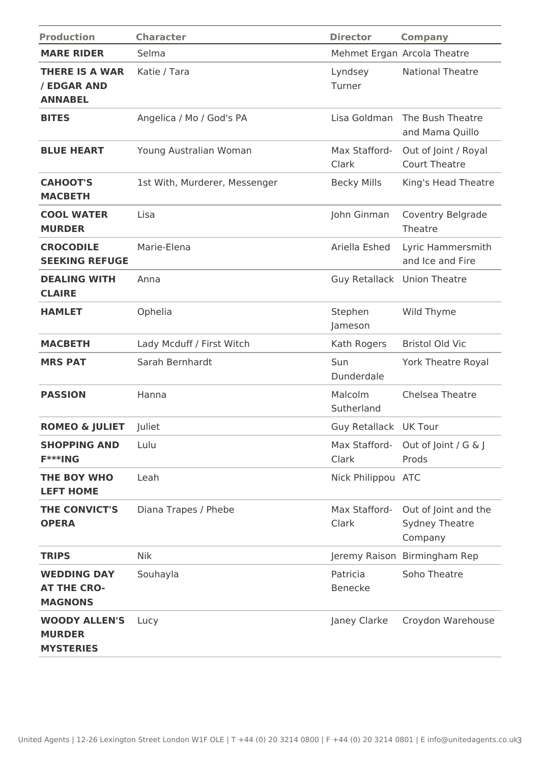| <b>Production</b>                                          | <b>Character</b>              | <b>Director</b>             | <b>Company</b>                                           |
|------------------------------------------------------------|-------------------------------|-----------------------------|----------------------------------------------------------|
| <b>MARE RIDER</b>                                          | Selma                         |                             | Mehmet Ergan Arcola Theatre                              |
| <b>THERE IS A WAR</b><br>/ EDGAR AND<br><b>ANNABEL</b>     | Katie / Tara                  | Lyndsey<br>Turner           | <b>National Theatre</b>                                  |
| <b>BITES</b>                                               | Angelica / Mo / God's PA      | Lisa Goldman                | The Bush Theatre<br>and Mama Quillo                      |
| <b>BLUE HEART</b>                                          | Young Australian Woman        | Max Stafford-<br>Clark      | Out of Joint / Royal<br><b>Court Theatre</b>             |
| <b>CAHOOT'S</b><br><b>MACBETH</b>                          | 1st With, Murderer, Messenger | <b>Becky Mills</b>          | King's Head Theatre                                      |
| <b>COOL WATER</b><br><b>MURDER</b>                         | Lisa                          | John Ginman                 | Coventry Belgrade<br>Theatre                             |
| <b>CROCODILE</b><br><b>SEEKING REFUGE</b>                  | Marie-Elena                   | Ariella Eshed               | Lyric Hammersmith<br>and Ice and Fire                    |
| <b>DEALING WITH</b><br><b>CLAIRE</b>                       | Anna                          | Guy Retallack Union Theatre |                                                          |
| <b>HAMLET</b>                                              | Ophelia                       | Stephen<br>Jameson          | Wild Thyme                                               |
| <b>MACBETH</b>                                             | Lady Mcduff / First Witch     | Kath Rogers                 | <b>Bristol Old Vic</b>                                   |
| <b>MRS PAT</b>                                             | Sarah Bernhardt               | Sun<br>Dunderdale           | York Theatre Royal                                       |
| <b>PASSION</b>                                             | Hanna                         | Malcolm<br>Sutherland       | Chelsea Theatre                                          |
| <b>ROMEO &amp; JULIET</b>                                  | Juliet                        | Guy Retallack UK Tour       |                                                          |
| <b>SHOPPING AND</b><br>F***ING                             | Lulu                          | Max Stafford-<br>Clark      | Out of Joint / $G \& J$<br>Prods                         |
| <b>THE BOY WHO</b><br><b>LEFT HOME</b>                     | Leah                          | Nick Philippou ATC          |                                                          |
| <b>THE CONVICT'S</b><br><b>OPERA</b>                       | Diana Trapes / Phebe          | Max Stafford-<br>Clark      | Out of Joint and the<br><b>Sydney Theatre</b><br>Company |
| <b>TRIPS</b>                                               | <b>Nik</b>                    |                             | Jeremy Raison Birmingham Rep                             |
| <b>WEDDING DAY</b><br><b>AT THE CRO-</b><br><b>MAGNONS</b> | Souhayla                      | Patricia<br><b>Benecke</b>  | Soho Theatre                                             |
| <b>WOODY ALLEN'S</b><br><b>MURDER</b><br><b>MYSTERIES</b>  | Lucy                          | Janey Clarke                | Croydon Warehouse                                        |